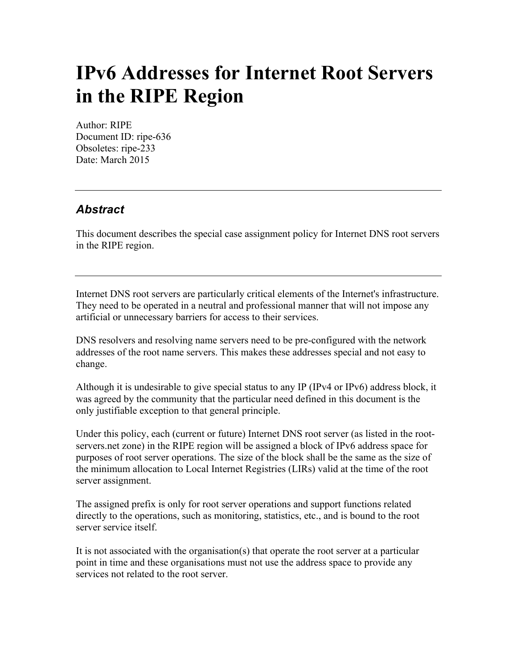## **IPv6 Addresses for Internet Root Servers in the RIPE Region**

Author: RIPE Document ID: ripe-636 Obsoletes: ripe-233 Date: March 2015

## *Abstract*

This document describes the special case assignment policy for Internet DNS root servers in the RIPE region.

Internet DNS root servers are particularly critical elements of the Internet's infrastructure. They need to be operated in a neutral and professional manner that will not impose any artificial or unnecessary barriers for access to their services.

DNS resolvers and resolving name servers need to be pre-configured with the network addresses of the root name servers. This makes these addresses special and not easy to change.

Although it is undesirable to give special status to any IP (IPv4 or IPv6) address block, it was agreed by the community that the particular need defined in this document is the only justifiable exception to that general principle.

Under this policy, each (current or future) Internet DNS root server (as listed in the rootservers.net zone) in the RIPE region will be assigned a block of IPv6 address space for purposes of root server operations. The size of the block shall be the same as the size of the minimum allocation to Local Internet Registries (LIRs) valid at the time of the root server assignment.

The assigned prefix is only for root server operations and support functions related directly to the operations, such as monitoring, statistics, etc., and is bound to the root server service itself.

It is not associated with the organisation(s) that operate the root server at a particular point in time and these organisations must not use the address space to provide any services not related to the root server.